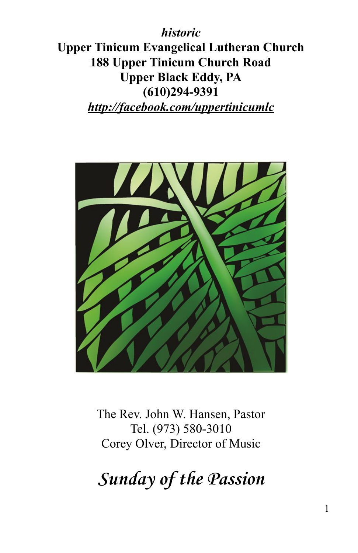*historic* **Upper Tinicum Evangelical Lutheran Church 188 Upper Tinicum Church Road Upper Black Eddy, PA (610)294-9391** *http://facebook.com/uppertinicumlc*



The Rev. John W. Hansen, Pastor Tel. (973) 580-3010 Corey Olver, Director of Music

**Sunday of the Passion**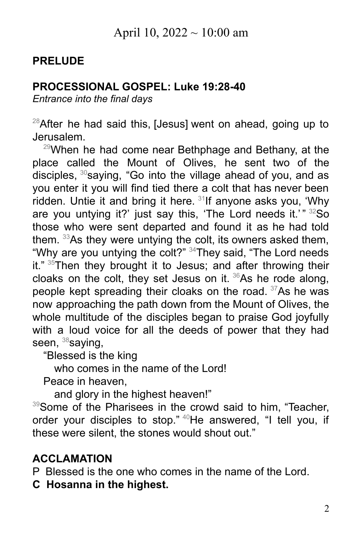# April 10, 2022  $\sim$  10:00 am

### **PRELUDE**

## **PROCESSIONAL GOSPEL: Luke 19:28-40**

*Entrance into the final days*

 $^{28}$ After he had said this, [Jesus] went on ahead, going up to Jerusalem.

 $29$ When he had come near Bethphage and Bethany, at the place called the Mount of Olives, he sent two of the disciples, <sup>30</sup>saying, "Go into the village ahead of you, and as you enter it you will find tied there a colt that has never been ridden. Untie it and bring it here. <sup>31</sup>lf anyone asks you, 'Why are you untying it?' just say this, 'The Lord needs it.'"  $32$ So those who were sent departed and found it as he had told them. <sup>33</sup>As they were untying the colt, its owners asked them, "Why are you untying the colt?"  $34$ They said, "The Lord needs it." <sup>35</sup>Then they brought it to Jesus; and after throwing their cloaks on the colt, they set Jesus on it.  $36$ As he rode along, people kept spreading their cloaks on the road.  $37$ As he was now approaching the path down from the Mount of Olives, the whole multitude of the disciples began to praise God joyfully with a loud voice for all the deeds of power that they had seen,  $38$ saying,

"Blessed is the king

who comes in the name of the Lord!

Peace in heaven,

and glory in the highest heaven!"

39Some of the Pharisees in the crowd said to him, "Teacher, order your disciples to stop." <sup>40</sup>He answered, "I tell you, if these were silent, the stones would shout out."

### **ACCLAMATION**

P Blessed is the one who comes in the name of the Lord.

**C Hosanna in the highest.**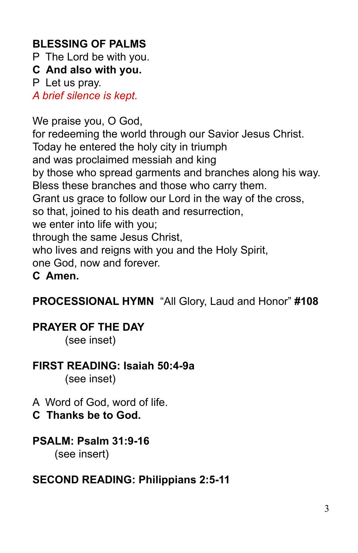# **BLESSING OF PALMS**

P The Lord be with you.

**C And also with you.**

P Let us pray.

*A brief silence is kept.*

We praise you, O God,

for redeeming the world through our Savior Jesus Christ. Today he entered the holy city in triumph and was proclaimed messiah and king by those who spread garments and branches along his way. Bless these branches and those who carry them. Grant us grace to follow our Lord in the way of the cross, so that, joined to his death and resurrection, we enter into life with you; through the same Jesus Christ, who lives and reigns with you and the Holy Spirit, one God, now and forever. **C Amen.**

**PROCESSIONAL HYMN** "All Glory, Laud and Honor" **#108**

## **PRAYER OF THE DAY**

(see inset)

## **FIRST READING: Isaiah 50:4-9a**

(see inset)

A Word of God, word of life.

**C Thanks be to God.**

## **PSALM: Psalm 31:9-16**

(see insert)

### **SECOND READING: Philippians 2:5-11**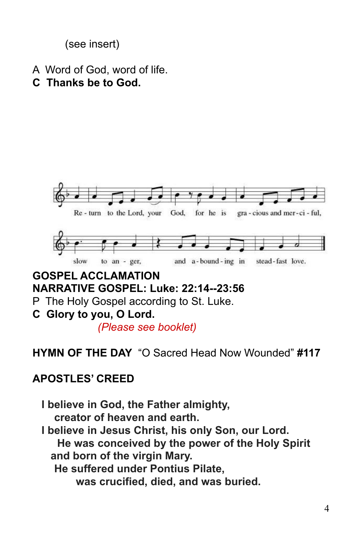(see insert)

- A Word of God, word of life.
- **C Thanks be to God.**



#### **NARRATIVE GOSPEL: Luke: 22:14--23:56**

P The Holy Gospel according to St. Luke.

**C Glory to you, O Lord.**

*(Please see booklet)*

#### **HYMN OF THE DAY** "O Sacred Head Now Wounded" **#117**

#### **APOSTLES' CREED**

**I believe in God, the Father almighty, creator of heaven and earth. I believe in Jesus Christ, his only Son, our Lord. He was conceived by the power of the Holy Spirit and born of the virgin Mary. He suffered under Pontius Pilate, was crucified, died, and was buried.**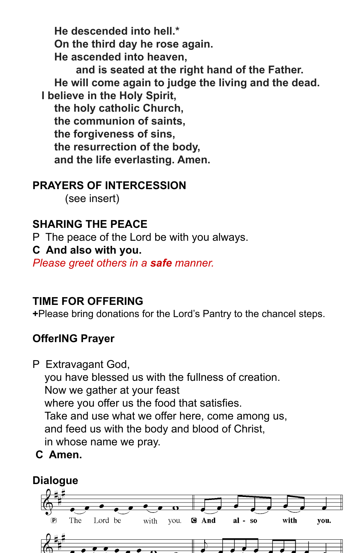**He descended into hell.\* On the third day he rose again. He ascended into heaven,**

**and is seated at the right hand of the Father. He will come again to judge the living and the dead. I believe in the Holy Spirit,**

**the holy catholic Church, the communion of saints, the forgiveness of sins, the resurrection of the body, and the life everlasting. Amen.**

### **PRAYERS OF INTERCESSION**

(see insert)

# **SHARING THE PEACE**

P The peace of the Lord be with you always.

#### **C And also with you.**

*Please greet others in a safe manner.*

## **TIME FOR OFFERING**

**+**Please bring donations for the Lord's Pantry to the chancel steps.

# **OfferING Prayer**

- P Extravagant God, you have blessed us with the fullness of creation. Now we gather at your feast where you offer us the food that satisfies. Take and use what we offer here, come among us, and feed us with the body and blood of Christ, in whose name we pray.
- **C Amen.**

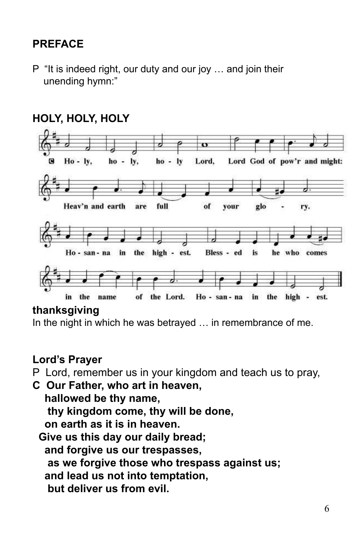# **PREFACE**

P "It is indeed right, our duty and our joy … and join their unending hymn:"



# **HOLY, HOLY, HOLY**

#### **thanksgiving**

In the night in which he was betrayed … in remembrance of me.

#### **Lord's Prayer**

P Lord, remember us in your kingdom and teach us to pray,

**C Our Father, who art in heaven, hallowed be thy name, thy kingdom come, thy will be done, on earth as it is in heaven. Give us this day our daily bread; and forgive us our trespasses, as we forgive those who trespass against us; and lead us not into temptation, but deliver us from evil.**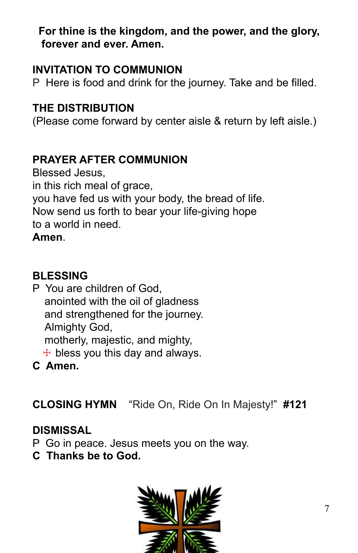## **For thine is the kingdom, and the power, and the glory, forever and ever. Amen.**

### **INVITATION TO COMMUNION**

P Here is food and drink for the journey. Take and be filled.

## **THE DISTRIBUTION**

(Please come forward by center aisle & return by left aisle.)

# **PRAYER AFTER COMMUNION**

Blessed Jesus, in this rich meal of grace, you have fed us with your body, the bread of life. Now send us forth to bear your life-giving hope to a world in need. **Amen**.

# **BLESSING**

P You are children of God, anointed with the oil of gladness and strengthened for the journey. Almighty God, motherly, majestic, and mighty,  $+$  bless you this day and always.

**C Amen.**

**CLOSING HYMN** "Ride On, Ride On In Majesty!" **#121**

## **DISMISSAL**

- P Go in peace. Jesus meets you on the way.
- **C Thanks be to God.**

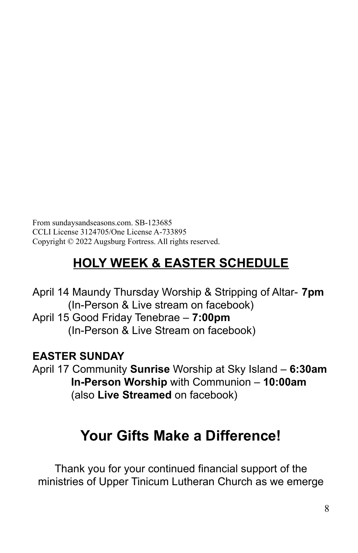From sundaysandseasons.com. SB-123685 CCLI License 3124705/One License A-733895 Copyright © 2022 Augsburg Fortress. All rights reserved.

# **HOLY WEEK & EASTER SCHEDULE**

April 14 Maundy Thursday Worship & Stripping of Altar- **7pm** (In-Person & Live stream on facebook) April 15 Good Friday Tenebrae – **7:00pm** (In-Person & Live Stream on facebook)

## **EASTER SUNDAY**

April 17 Community **Sunrise** Worship at Sky Island – **6:30am In-Person Worship** with Communion – **10:00am** (also **Live Streamed** on facebook)

# **Your Gifts Make a Difference!**

Thank you for your continued financial support of the ministries of Upper Tinicum Lutheran Church as we emerge